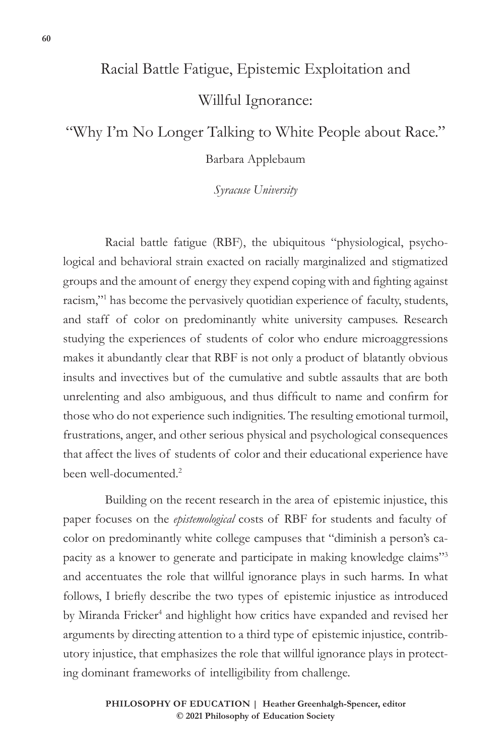# Racial Battle Fatigue, Epistemic Exploitation and Willful Ignorance:

## "Why I'm No Longer Talking to White People about Race."

## Barbara Applebaum

*Syracuse University*

Racial battle fatigue (RBF), the ubiquitous "physiological, psychological and behavioral strain exacted on racially marginalized and stigmatized groups and the amount of energy they expend coping with and fighting against racism,"1 has become the pervasively quotidian experience of faculty, students, and staff of color on predominantly white university campuses. Research studying the experiences of students of color who endure microaggressions makes it abundantly clear that RBF is not only a product of blatantly obvious insults and invectives but of the cumulative and subtle assaults that are both unrelenting and also ambiguous, and thus difficult to name and confirm for those who do not experience such indignities. The resulting emotional turmoil, frustrations, anger, and other serious physical and psychological consequences that affect the lives of students of color and their educational experience have been well-documented.2

Building on the recent research in the area of epistemic injustice, this paper focuses on the *epistemological* costs of RBF for students and faculty of color on predominantly white college campuses that "diminish a person's capacity as a knower to generate and participate in making knowledge claims"3 and accentuates the role that willful ignorance plays in such harms. In what follows, I briefly describe the two types of epistemic injustice as introduced by Miranda Fricker<sup>4</sup> and highlight how critics have expanded and revised her arguments by directing attention to a third type of epistemic injustice, contributory injustice, that emphasizes the role that willful ignorance plays in protecting dominant frameworks of intelligibility from challenge.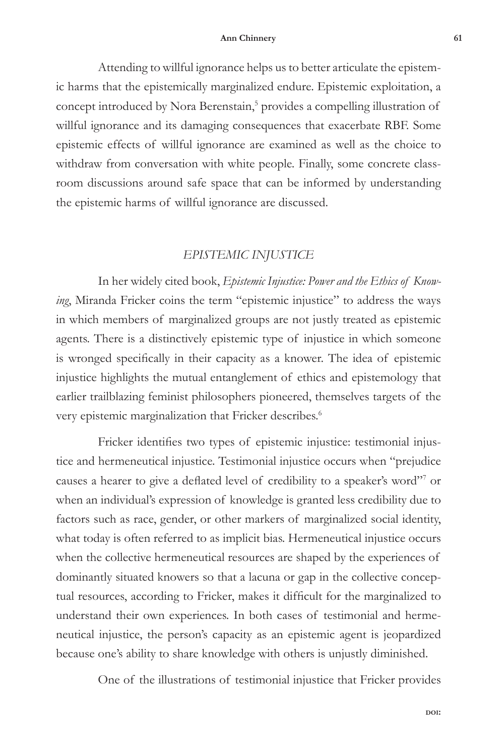Attending to willful ignorance helps us to better articulate the epistemic harms that the epistemically marginalized endure. Epistemic exploitation, a concept introduced by Nora Berenstain,<sup>5</sup> provides a compelling illustration of willful ignorance and its damaging consequences that exacerbate RBF. Some epistemic effects of willful ignorance are examined as well as the choice to withdraw from conversation with white people. Finally, some concrete classroom discussions around safe space that can be informed by understanding the epistemic harms of willful ignorance are discussed.

## *EPISTEMIC INJUSTICE*

In her widely cited book, *Epistemic Injustice: Power and the Ethics of Knowing*, Miranda Fricker coins the term "epistemic injustice" to address the ways in which members of marginalized groups are not justly treated as epistemic agents. There is a distinctively epistemic type of injustice in which someone is wronged specifically in their capacity as a knower. The idea of epistemic injustice highlights the mutual entanglement of ethics and epistemology that earlier trailblazing feminist philosophers pioneered, themselves targets of the very epistemic marginalization that Fricker describes.<sup>6</sup>

Fricker identifies two types of epistemic injustice: testimonial injustice and hermeneutical injustice. Testimonial injustice occurs when "prejudice causes a hearer to give a deflated level of credibility to a speaker's word"7 or when an individual's expression of knowledge is granted less credibility due to factors such as race, gender, or other markers of marginalized social identity, what today is often referred to as implicit bias. Hermeneutical injustice occurs when the collective hermeneutical resources are shaped by the experiences of dominantly situated knowers so that a lacuna or gap in the collective conceptual resources, according to Fricker, makes it difficult for the marginalized to understand their own experiences. In both cases of testimonial and hermeneutical injustice, the person's capacity as an epistemic agent is jeopardized because one's ability to share knowledge with others is unjustly diminished.

One of the illustrations of testimonial injustice that Fricker provides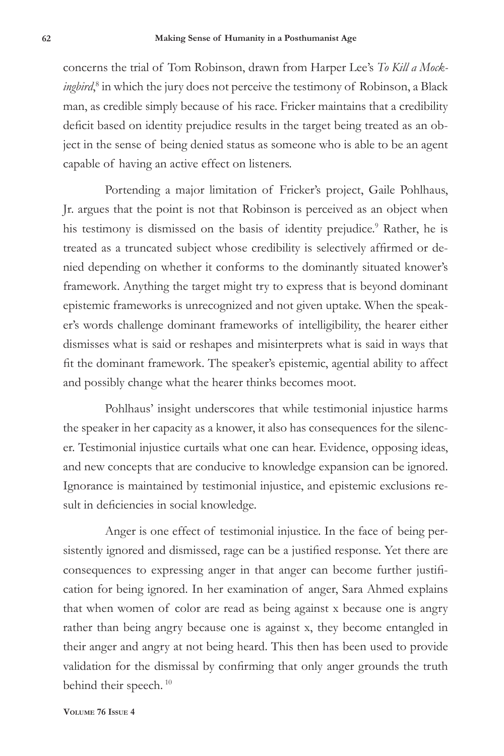concerns the trial of Tom Robinson, drawn from Harper Lee's *To Kill a Mockingbird*, 8 in which the jury does not perceive the testimony of Robinson, a Black man, as credible simply because of his race. Fricker maintains that a credibility deficit based on identity prejudice results in the target being treated as an object in the sense of being denied status as someone who is able to be an agent capable of having an active effect on listeners.

Portending a major limitation of Fricker's project, Gaile Pohlhaus, Jr. argues that the point is not that Robinson is perceived as an object when his testimony is dismissed on the basis of identity prejudice.<sup>9</sup> Rather, he is treated as a truncated subject whose credibility is selectively affirmed or denied depending on whether it conforms to the dominantly situated knower's framework. Anything the target might try to express that is beyond dominant epistemic frameworks is unrecognized and not given uptake. When the speaker's words challenge dominant frameworks of intelligibility, the hearer either dismisses what is said or reshapes and misinterprets what is said in ways that fit the dominant framework. The speaker's epistemic, agential ability to affect and possibly change what the hearer thinks becomes moot.

Pohlhaus' insight underscores that while testimonial injustice harms the speaker in her capacity as a knower, it also has consequences for the silencer. Testimonial injustice curtails what one can hear. Evidence, opposing ideas, and new concepts that are conducive to knowledge expansion can be ignored. Ignorance is maintained by testimonial injustice, and epistemic exclusions result in deficiencies in social knowledge.

Anger is one effect of testimonial injustice. In the face of being persistently ignored and dismissed, rage can be a justified response. Yet there are consequences to expressing anger in that anger can become further justification for being ignored. In her examination of anger, Sara Ahmed explains that when women of color are read as being against x because one is angry rather than being angry because one is against x, they become entangled in their anger and angry at not being heard. This then has been used to provide validation for the dismissal by confirming that only anger grounds the truth behind their speech.<sup>10</sup>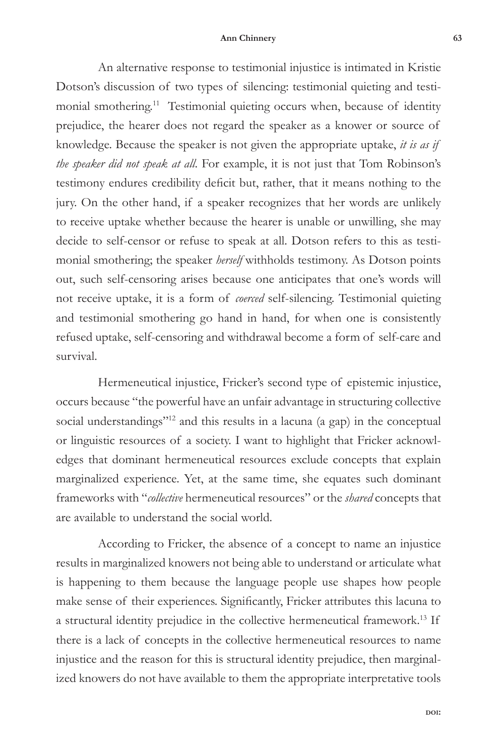An alternative response to testimonial injustice is intimated in Kristie Dotson's discussion of two types of silencing: testimonial quieting and testimonial smothering.11 Testimonial quieting occurs when, because of identity prejudice, the hearer does not regard the speaker as a knower or source of knowledge. Because the speaker is not given the appropriate uptake, *it is as if the speaker did not speak at all*. For example, it is not just that Tom Robinson's testimony endures credibility deficit but, rather, that it means nothing to the jury. On the other hand, if a speaker recognizes that her words are unlikely to receive uptake whether because the hearer is unable or unwilling, she may decide to self-censor or refuse to speak at all. Dotson refers to this as testimonial smothering; the speaker *herself* withholds testimony. As Dotson points out, such self-censoring arises because one anticipates that one's words will not receive uptake, it is a form of *coerced* self-silencing. Testimonial quieting and testimonial smothering go hand in hand, for when one is consistently refused uptake, self-censoring and withdrawal become a form of self-care and survival.

Hermeneutical injustice, Fricker's second type of epistemic injustice, occurs because "the powerful have an unfair advantage in structuring collective social understandings"<sup>12</sup> and this results in a lacuna (a gap) in the conceptual or linguistic resources of a society. I want to highlight that Fricker acknowledges that dominant hermeneutical resources exclude concepts that explain marginalized experience. Yet, at the same time, she equates such dominant frameworks with "*collective* hermeneutical resources" or the *shared* concepts that are available to understand the social world.

According to Fricker, the absence of a concept to name an injustice results in marginalized knowers not being able to understand or articulate what is happening to them because the language people use shapes how people make sense of their experiences. Significantly, Fricker attributes this lacuna to a structural identity prejudice in the collective hermeneutical framework.13 If there is a lack of concepts in the collective hermeneutical resources to name injustice and the reason for this is structural identity prejudice, then marginalized knowers do not have available to them the appropriate interpretative tools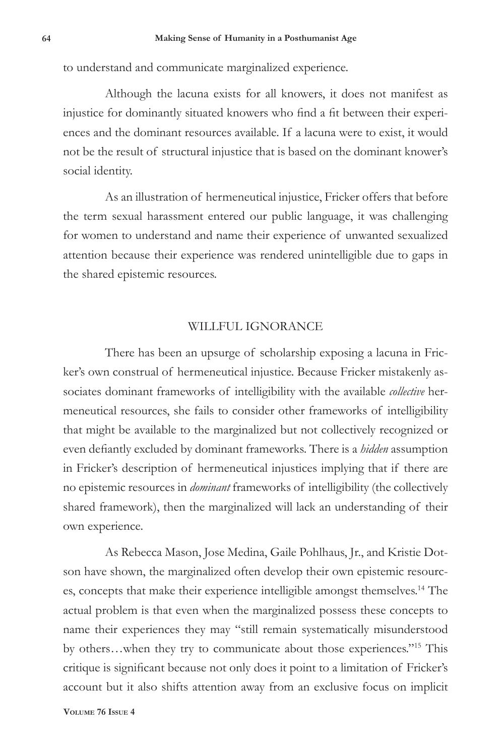to understand and communicate marginalized experience.

Although the lacuna exists for all knowers, it does not manifest as injustice for dominantly situated knowers who find a fit between their experiences and the dominant resources available. If a lacuna were to exist, it would not be the result of structural injustice that is based on the dominant knower's social identity.

As an illustration of hermeneutical injustice, Fricker offers that before the term sexual harassment entered our public language, it was challenging for women to understand and name their experience of unwanted sexualized attention because their experience was rendered unintelligible due to gaps in the shared epistemic resources.

## WILLFUL IGNORANCE

There has been an upsurge of scholarship exposing a lacuna in Fricker's own construal of hermeneutical injustice. Because Fricker mistakenly associates dominant frameworks of intelligibility with the available *collective* hermeneutical resources, she fails to consider other frameworks of intelligibility that might be available to the marginalized but not collectively recognized or even defiantly excluded by dominant frameworks. There is a *hidden* assumption in Fricker's description of hermeneutical injustices implying that if there are no epistemic resources in *dominant* frameworks of intelligibility (the collectively shared framework), then the marginalized will lack an understanding of their own experience.

As Rebecca Mason, Jose Medina, Gaile Pohlhaus, Jr., and Kristie Dotson have shown, the marginalized often develop their own epistemic resources, concepts that make their experience intelligible amongst themselves.<sup>14</sup> The actual problem is that even when the marginalized possess these concepts to name their experiences they may "still remain systematically misunderstood by others…when they try to communicate about those experiences."15 This critique is significant because not only does it point to a limitation of Fricker's account but it also shifts attention away from an exclusive focus on implicit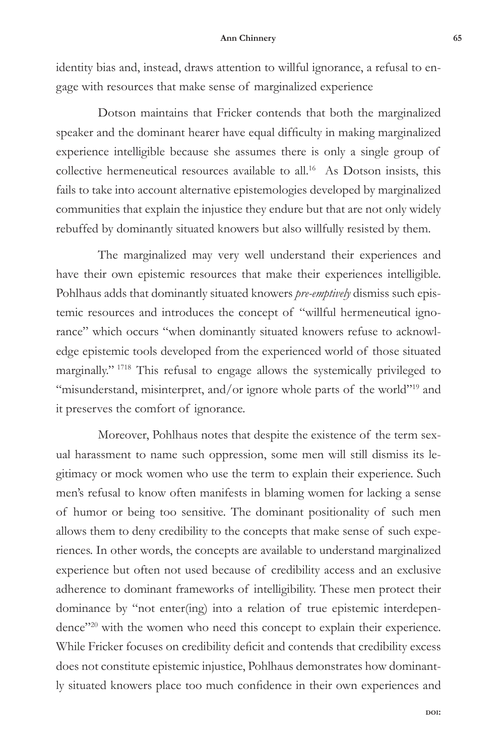identity bias and, instead, draws attention to willful ignorance, a refusal to engage with resources that make sense of marginalized experience

Dotson maintains that Fricker contends that both the marginalized speaker and the dominant hearer have equal difficulty in making marginalized experience intelligible because she assumes there is only a single group of collective hermeneutical resources available to all.<sup>16</sup> As Dotson insists, this fails to take into account alternative epistemologies developed by marginalized communities that explain the injustice they endure but that are not only widely rebuffed by dominantly situated knowers but also willfully resisted by them.

The marginalized may very well understand their experiences and have their own epistemic resources that make their experiences intelligible. Pohlhaus adds that dominantly situated knowers *pre-emptively* dismiss such epistemic resources and introduces the concept of "willful hermeneutical ignorance" which occurs "when dominantly situated knowers refuse to acknowledge epistemic tools developed from the experienced world of those situated marginally." 1718 This refusal to engage allows the systemically privileged to "misunderstand, misinterpret, and/or ignore whole parts of the world"<sup>19</sup> and it preserves the comfort of ignorance.

Moreover, Pohlhaus notes that despite the existence of the term sexual harassment to name such oppression, some men will still dismiss its legitimacy or mock women who use the term to explain their experience. Such men's refusal to know often manifests in blaming women for lacking a sense of humor or being too sensitive. The dominant positionality of such men allows them to deny credibility to the concepts that make sense of such experiences. In other words, the concepts are available to understand marginalized experience but often not used because of credibility access and an exclusive adherence to dominant frameworks of intelligibility. These men protect their dominance by "not enter(ing) into a relation of true epistemic interdependence"<sup>20</sup> with the women who need this concept to explain their experience. While Fricker focuses on credibility deficit and contends that credibility excess does not constitute epistemic injustice, Pohlhaus demonstrates how dominantly situated knowers place too much confidence in their own experiences and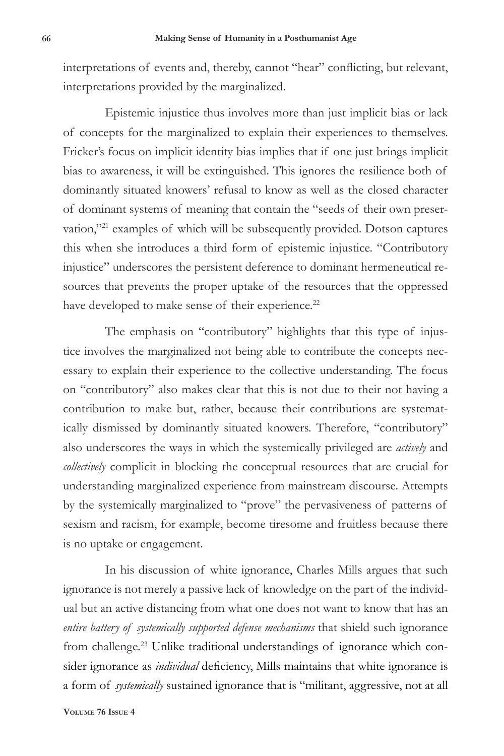interpretations of events and, thereby, cannot "hear" conflicting, but relevant, interpretations provided by the marginalized.

Epistemic injustice thus involves more than just implicit bias or lack of concepts for the marginalized to explain their experiences to themselves. Fricker's focus on implicit identity bias implies that if one just brings implicit bias to awareness, it will be extinguished. This ignores the resilience both of dominantly situated knowers' refusal to know as well as the closed character of dominant systems of meaning that contain the "seeds of their own preservation,"<sup>21</sup> examples of which will be subsequently provided. Dotson captures this when she introduces a third form of epistemic injustice. "Contributory injustice" underscores the persistent deference to dominant hermeneutical resources that prevents the proper uptake of the resources that the oppressed have developed to make sense of their experience.<sup>22</sup>

The emphasis on "contributory" highlights that this type of injustice involves the marginalized not being able to contribute the concepts necessary to explain their experience to the collective understanding. The focus on "contributory" also makes clear that this is not due to their not having a contribution to make but, rather, because their contributions are systematically dismissed by dominantly situated knowers. Therefore, "contributory" also underscores the ways in which the systemically privileged are *actively* and *collectively* complicit in blocking the conceptual resources that are crucial for understanding marginalized experience from mainstream discourse. Attempts by the systemically marginalized to "prove" the pervasiveness of patterns of sexism and racism, for example, become tiresome and fruitless because there is no uptake or engagement.

In his discussion of white ignorance, Charles Mills argues that such ignorance is not merely a passive lack of knowledge on the part of the individual but an active distancing from what one does not want to know that has an *entire battery of systemically supported defense mechanisms* that shield such ignorance from challenge.<sup>23</sup> Unlike traditional understandings of ignorance which consider ignorance as *individual* deficiency, Mills maintains that white ignorance is a form of *systemically* sustained ignorance that is "militant, aggressive, not at all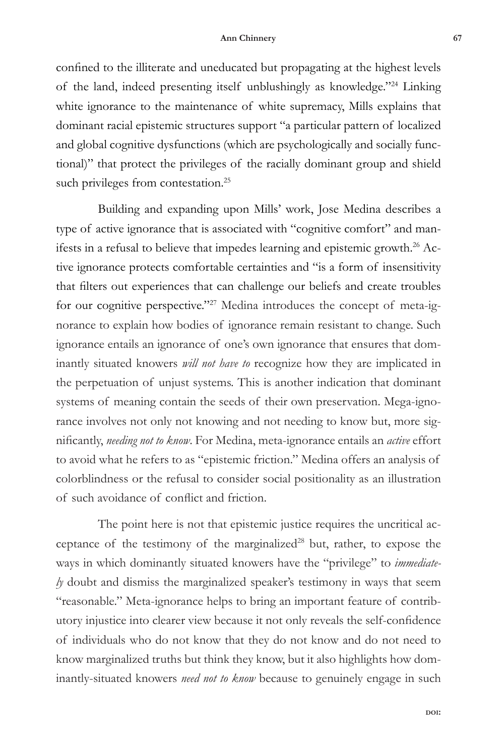confined to the illiterate and uneducated but propagating at the highest levels of the land, indeed presenting itself unblushingly as knowledge."24 Linking white ignorance to the maintenance of white supremacy, Mills explains that dominant racial epistemic structures support "a particular pattern of localized and global cognitive dysfunctions (which are psychologically and socially functional)" that protect the privileges of the racially dominant group and shield such privileges from contestation.<sup>25</sup>

Building and expanding upon Mills' work, Jose Medina describes a type of active ignorance that is associated with "cognitive comfort" and manifests in a refusal to believe that impedes learning and epistemic growth.<sup>26</sup> Active ignorance protects comfortable certainties and "is a form of insensitivity that filters out experiences that can challenge our beliefs and create troubles for our cognitive perspective."27 Medina introduces the concept of meta-ignorance to explain how bodies of ignorance remain resistant to change. Such ignorance entails an ignorance of one's own ignorance that ensures that dominantly situated knowers *will not have to* recognize how they are implicated in the perpetuation of unjust systems. This is another indication that dominant systems of meaning contain the seeds of their own preservation. Mega-ignorance involves not only not knowing and not needing to know but, more significantly, *needing not to know*. For Medina, meta-ignorance entails an *active* effort to avoid what he refers to as "epistemic friction." Medina offers an analysis of colorblindness or the refusal to consider social positionality as an illustration of such avoidance of conflict and friction.

The point here is not that epistemic justice requires the uncritical acceptance of the testimony of the marginalized $28$  but, rather, to expose the ways in which dominantly situated knowers have the "privilege" to *immediately* doubt and dismiss the marginalized speaker's testimony in ways that seem "reasonable." Meta-ignorance helps to bring an important feature of contributory injustice into clearer view because it not only reveals the self-confidence of individuals who do not know that they do not know and do not need to know marginalized truths but think they know, but it also highlights how dominantly-situated knowers *need not to know* because to genuinely engage in such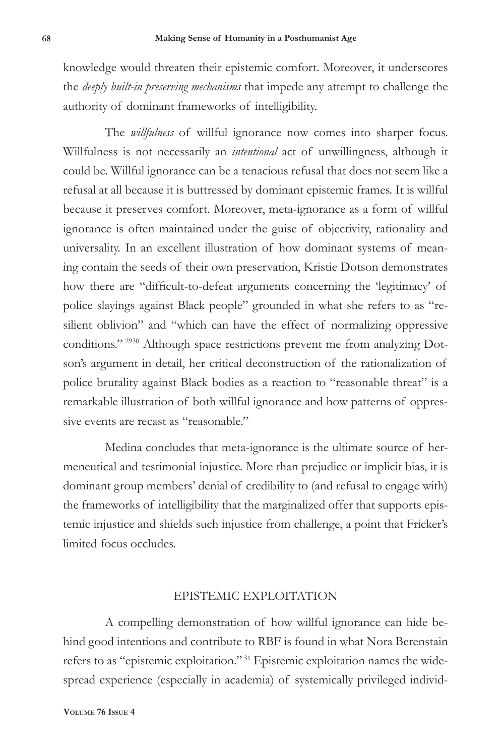knowledge would threaten their epistemic comfort. Moreover, it underscores the *deeply built-in preserving mechanisms* that impede any attempt to challenge the authority of dominant frameworks of intelligibility.

The *willfulness* of willful ignorance now comes into sharper focus. Willfulness is not necessarily an *intentional* act of unwillingness, although it could be. Willful ignorance can be a tenacious refusal that does not seem like a refusal at all because it is buttressed by dominant epistemic frames. It is willful because it preserves comfort. Moreover, meta-ignorance as a form of willful ignorance is often maintained under the guise of objectivity, rationality and universality. In an excellent illustration of how dominant systems of meaning contain the seeds of their own preservation, Kristie Dotson demonstrates how there are "difficult-to-defeat arguments concerning the 'legitimacy' of police slayings against Black people" grounded in what she refers to as "resilient oblivion" and "which can have the effect of normalizing oppressive conditions." 2930 Although space restrictions prevent me from analyzing Dotson's argument in detail, her critical deconstruction of the rationalization of police brutality against Black bodies as a reaction to "reasonable threat" is a remarkable illustration of both willful ignorance and how patterns of oppressive events are recast as "reasonable."

Medina concludes that meta-ignorance is the ultimate source of hermeneutical and testimonial injustice. More than prejudice or implicit bias, it is dominant group members' denial of credibility to (and refusal to engage with) the frameworks of intelligibility that the marginalized offer that supports epistemic injustice and shields such injustice from challenge, a point that Fricker's limited focus occludes.

### EPISTEMIC EXPLOITATION

A compelling demonstration of how willful ignorance can hide behind good intentions and contribute to RBF is found in what Nora Berenstain refers to as "epistemic exploitation." 31 Epistemic exploitation names the widespread experience (especially in academia) of systemically privileged individ-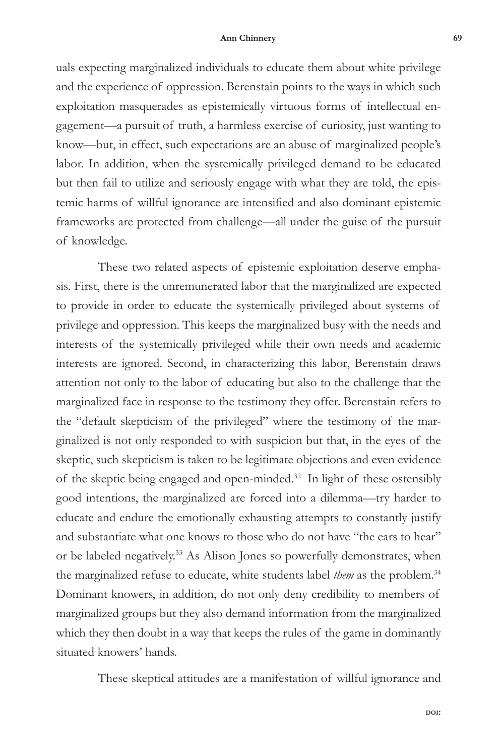uals expecting marginalized individuals to educate them about white privilege and the experience of oppression. Berenstain points to the ways in which such exploitation masquerades as epistemically virtuous forms of intellectual engagement—a pursuit of truth, a harmless exercise of curiosity, just wanting to know—but, in effect, such expectations are an abuse of marginalized people's labor. In addition, when the systemically privileged demand to be educated but then fail to utilize and seriously engage with what they are told, the epistemic harms of willful ignorance are intensified and also dominant epistemic frameworks are protected from challenge—all under the guise of the pursuit of knowledge.

These two related aspects of epistemic exploitation deserve emphasis. First, there is the unremunerated labor that the marginalized are expected to provide in order to educate the systemically privileged about systems of privilege and oppression. This keeps the marginalized busy with the needs and interests of the systemically privileged while their own needs and academic interests are ignored. Second, in characterizing this labor, Berenstain draws attention not only to the labor of educating but also to the challenge that the marginalized face in response to the testimony they offer. Berenstain refers to the "default skepticism of the privileged" where the testimony of the marginalized is not only responded to with suspicion but that, in the eyes of the skeptic, such skepticism is taken to be legitimate objections and even evidence of the skeptic being engaged and open-minded.32 In light of these ostensibly good intentions, the marginalized are forced into a dilemma—try harder to educate and endure the emotionally exhausting attempts to constantly justify and substantiate what one knows to those who do not have "the ears to hear" or be labeled negatively.33 As Alison Jones so powerfully demonstrates, when the marginalized refuse to educate, white students label *them* as the problem.34 Dominant knowers, in addition, do not only deny credibility to members of marginalized groups but they also demand information from the marginalized which they then doubt in a way that keeps the rules of the game in dominantly situated knowers' hands.

These skeptical attitudes are a manifestation of willful ignorance and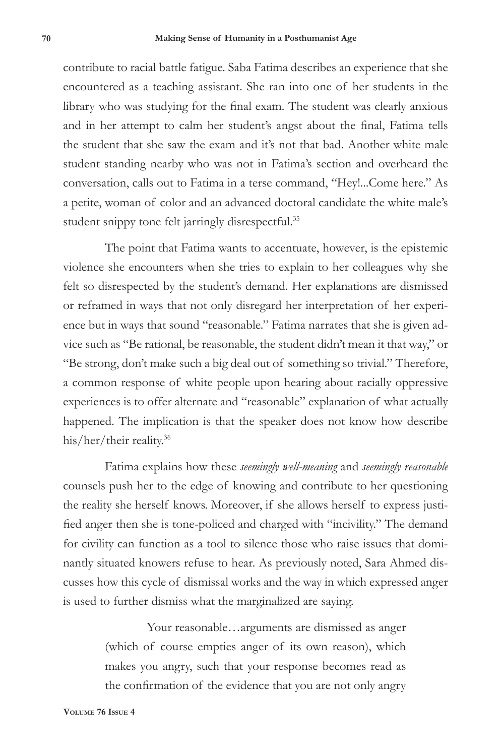contribute to racial battle fatigue. Saba Fatima describes an experience that she encountered as a teaching assistant. She ran into one of her students in the library who was studying for the final exam. The student was clearly anxious and in her attempt to calm her student's angst about the final, Fatima tells the student that she saw the exam and it's not that bad. Another white male student standing nearby who was not in Fatima's section and overheard the conversation, calls out to Fatima in a terse command, "Hey!...Come here." As a petite, woman of color and an advanced doctoral candidate the white male's student snippy tone felt jarringly disrespectful.<sup>35</sup>

The point that Fatima wants to accentuate, however, is the epistemic violence she encounters when she tries to explain to her colleagues why she felt so disrespected by the student's demand. Her explanations are dismissed or reframed in ways that not only disregard her interpretation of her experience but in ways that sound "reasonable." Fatima narrates that she is given advice such as "Be rational, be reasonable, the student didn't mean it that way," or "Be strong, don't make such a big deal out of something so trivial." Therefore, a common response of white people upon hearing about racially oppressive experiences is to offer alternate and "reasonable" explanation of what actually happened. The implication is that the speaker does not know how describe his/her/their reality.36

Fatima explains how these *seemingly well-meaning* and *seemingly reasonable* counsels push her to the edge of knowing and contribute to her questioning the reality she herself knows. Moreover, if she allows herself to express justified anger then she is tone-policed and charged with "incivility." The demand for civility can function as a tool to silence those who raise issues that dominantly situated knowers refuse to hear. As previously noted, Sara Ahmed discusses how this cycle of dismissal works and the way in which expressed anger is used to further dismiss what the marginalized are saying.

> Your reasonable…arguments are dismissed as anger (which of course empties anger of its own reason), which makes you angry, such that your response becomes read as the confirmation of the evidence that you are not only angry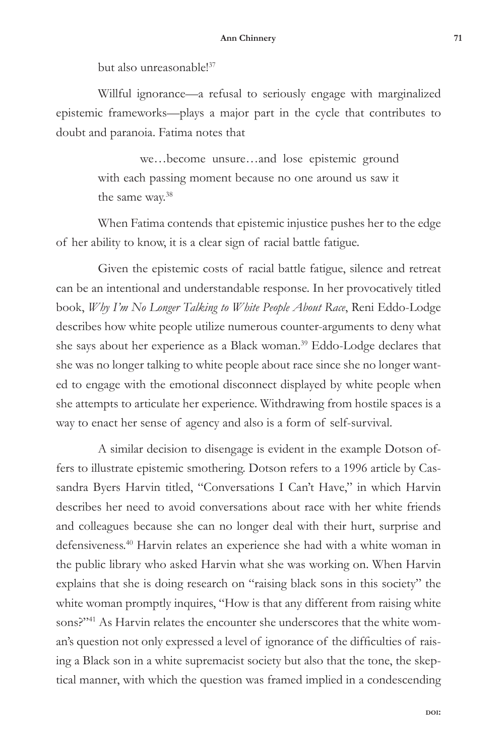but also unreasonable!<sup>37</sup>

Willful ignorance—a refusal to seriously engage with marginalized epistemic frameworks—plays a major part in the cycle that contributes to doubt and paranoia. Fatima notes that

> we…become unsure…and lose epistemic ground with each passing moment because no one around us saw it the same way.38

When Fatima contends that epistemic injustice pushes her to the edge of her ability to know, it is a clear sign of racial battle fatigue.

Given the epistemic costs of racial battle fatigue, silence and retreat can be an intentional and understandable response. In her provocatively titled book, *Why I'm No Longer Talking to White People About Race*, Reni Eddo-Lodge describes how white people utilize numerous counter-arguments to deny what she says about her experience as a Black woman.39 Eddo-Lodge declares that she was no longer talking to white people about race since she no longer wanted to engage with the emotional disconnect displayed by white people when she attempts to articulate her experience. Withdrawing from hostile spaces is a way to enact her sense of agency and also is a form of self-survival.

A similar decision to disengage is evident in the example Dotson offers to illustrate epistemic smothering. Dotson refers to a 1996 article by Cassandra Byers Harvin titled, "Conversations I Can't Have," in which Harvin describes her need to avoid conversations about race with her white friends and colleagues because she can no longer deal with their hurt, surprise and defensiveness.40 Harvin relates an experience she had with a white woman in the public library who asked Harvin what she was working on. When Harvin explains that she is doing research on "raising black sons in this society" the white woman promptly inquires, "How is that any different from raising white sons?"<sup>41</sup> As Harvin relates the encounter she underscores that the white woman's question not only expressed a level of ignorance of the difficulties of raising a Black son in a white supremacist society but also that the tone, the skeptical manner, with which the question was framed implied in a condescending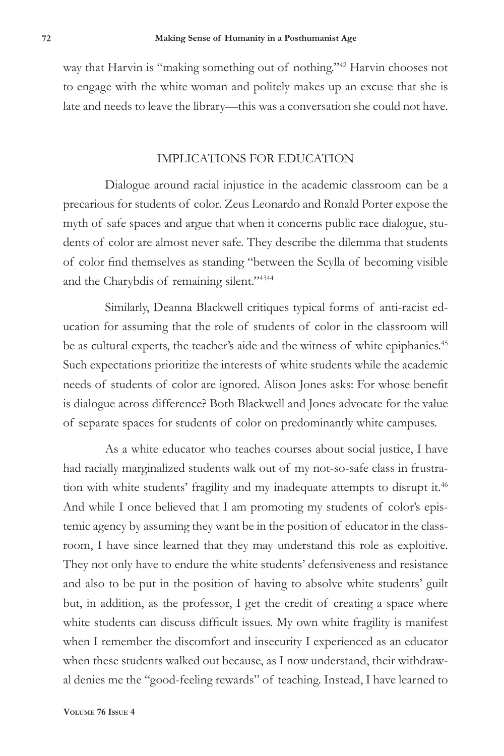way that Harvin is "making something out of nothing."<sup>42</sup> Harvin chooses not to engage with the white woman and politely makes up an excuse that she is late and needs to leave the library—this was a conversation she could not have.

## IMPLICATIONS FOR EDUCATION

Dialogue around racial injustice in the academic classroom can be a precarious for students of color. Zeus Leonardo and Ronald Porter expose the myth of safe spaces and argue that when it concerns public race dialogue, students of color are almost never safe. They describe the dilemma that students of color find themselves as standing "between the Scylla of becoming visible and the Charybdis of remaining silent."<sup>4344</sup>

Similarly, Deanna Blackwell critiques typical forms of anti-racist education for assuming that the role of students of color in the classroom will be as cultural experts, the teacher's aide and the witness of white epiphanies.<sup>45</sup> Such expectations prioritize the interests of white students while the academic needs of students of color are ignored. Alison Jones asks: For whose benefit is dialogue across difference? Both Blackwell and Jones advocate for the value of separate spaces for students of color on predominantly white campuses.

As a white educator who teaches courses about social justice, I have had racially marginalized students walk out of my not-so-safe class in frustration with white students' fragility and my inadequate attempts to disrupt it.<sup>46</sup> And while I once believed that I am promoting my students of color's epistemic agency by assuming they want be in the position of educator in the classroom, I have since learned that they may understand this role as exploitive. They not only have to endure the white students' defensiveness and resistance and also to be put in the position of having to absolve white students' guilt but, in addition, as the professor, I get the credit of creating a space where white students can discuss difficult issues. My own white fragility is manifest when I remember the discomfort and insecurity I experienced as an educator when these students walked out because, as I now understand, their withdrawal denies me the "good-feeling rewards" of teaching. Instead, I have learned to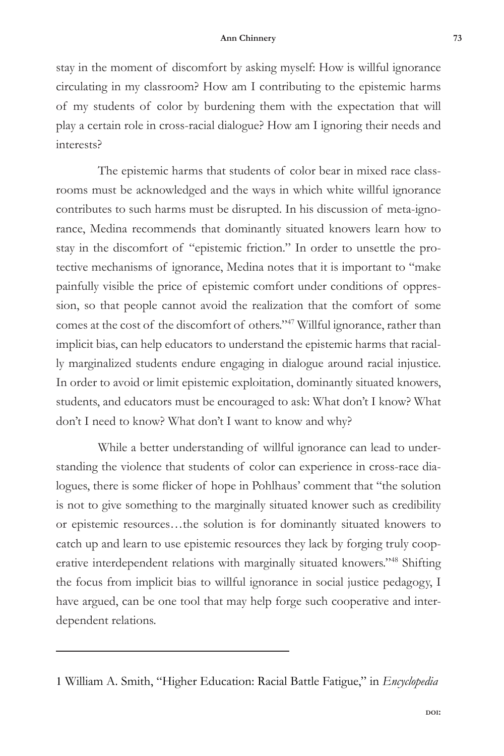stay in the moment of discomfort by asking myself: How is willful ignorance circulating in my classroom? How am I contributing to the epistemic harms of my students of color by burdening them with the expectation that will play a certain role in cross-racial dialogue? How am I ignoring their needs and interests?

The epistemic harms that students of color bear in mixed race classrooms must be acknowledged and the ways in which white willful ignorance contributes to such harms must be disrupted. In his discussion of meta-ignorance, Medina recommends that dominantly situated knowers learn how to stay in the discomfort of "epistemic friction." In order to unsettle the protective mechanisms of ignorance, Medina notes that it is important to "make painfully visible the price of epistemic comfort under conditions of oppression, so that people cannot avoid the realization that the comfort of some comes at the cost of the discomfort of others."47 Willful ignorance, rather than implicit bias, can help educators to understand the epistemic harms that racially marginalized students endure engaging in dialogue around racial injustice. In order to avoid or limit epistemic exploitation, dominantly situated knowers, students, and educators must be encouraged to ask: What don't I know? What don't I need to know? What don't I want to know and why?

While a better understanding of willful ignorance can lead to understanding the violence that students of color can experience in cross-race dialogues, there is some flicker of hope in Pohlhaus' comment that "the solution is not to give something to the marginally situated knower such as credibility or epistemic resources…the solution is for dominantly situated knowers to catch up and learn to use epistemic resources they lack by forging truly cooperative interdependent relations with marginally situated knowers."48 Shifting the focus from implicit bias to willful ignorance in social justice pedagogy, I have argued, can be one tool that may help forge such cooperative and interdependent relations.

<sup>1</sup> William A. Smith, "Higher Education: Racial Battle Fatigue," in *Encyclopedia*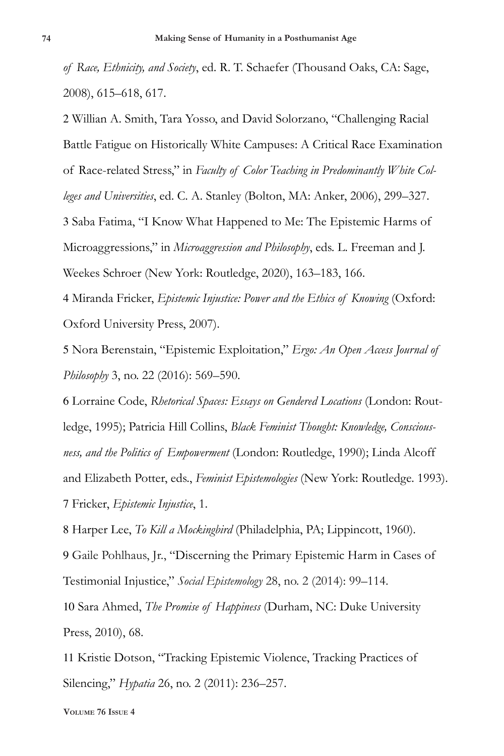*of Race, Ethnicity, and Society*, ed. R. T. Schaefer (Thousand Oaks, CA: Sage, 2008), 615–618, 617.

2 Willian A. Smith, Tara Yosso, and David Solorzano, "Challenging Racial Battle Fatigue on Historically White Campuses: A Critical Race Examination of Race-related Stress," in *Faculty of Color Teaching in Predominantly White Colleges and Universities*, ed. C. A. Stanley (Bolton, MA: Anker, 2006), 299–327. 3 Saba Fatima, "I Know What Happened to Me: The Epistemic Harms of Microaggressions," in *Microaggression and Philosophy*, eds. L. Freeman and J. Weekes Schroer (New York: Routledge, 2020), 163–183, 166.

4 Miranda Fricker, *Epistemic Injustice: Power and the Ethics of Knowing* (Oxford: Oxford University Press, 2007).

5 Nora Berenstain, "Epistemic Exploitation," *Ergo: An Open Access Journal of Philosophy* 3, no. 22 (2016): 569–590.

6 Lorraine Code, *Rhetorical Spaces: Essays on Gendered Locations* (London: Routledge, 1995); Patricia Hill Collins, *Black Feminist Thought: Knowledge, Consciousness, and the Politics of Empowerment* (London: Routledge, 1990); Linda Alcoff and Elizabeth Potter, eds., *Feminist Epistemologies* (New York: Routledge. 1993). 7 Fricker, *Epistemic Injustice*, 1.

8 Harper Lee, *To Kill a Mockingbird* (Philadelphia, PA; Lippincott, 1960). 9 Gaile Pohlhaus, Jr., "Discerning the Primary Epistemic Harm in Cases of Testimonial Injustice," *Social Epistemology* 28, no. 2 (2014): 99–114.

10 Sara Ahmed, *The Promise of Happiness* (Durham, NC: Duke University Press, 2010), 68.

11 Kristie Dotson, "Tracking Epistemic Violence, Tracking Practices of Silencing," *Hypatia* 26, no. 2 (2011): 236–257.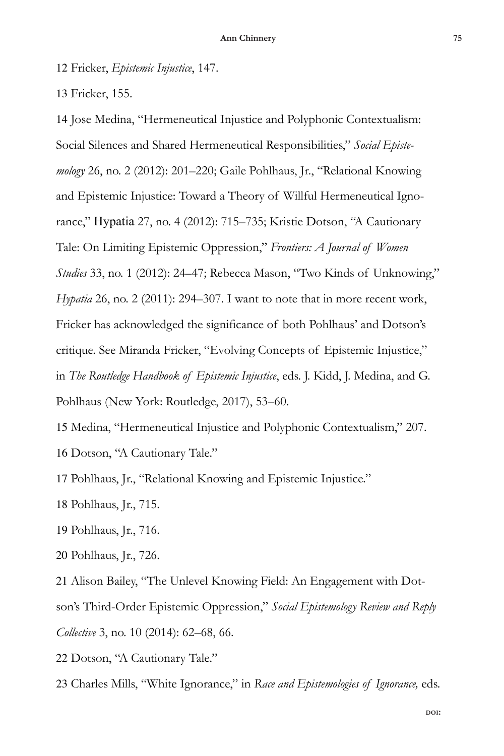12 Fricker, *Epistemic Injustice*, 147.

13 Fricker, 155.

14 Jose Medina, "Hermeneutical Injustice and Polyphonic Contextualism: Social Silences and Shared Hermeneutical Responsibilities," *Social Epistemology* 26, no. 2 (2012): 201–220; Gaile Pohlhaus, Jr., "Relational Knowing and Epistemic Injustice: Toward a Theory of Willful Hermeneutical Ignorance," Hypatia 27, no. 4 (2012): 715–735; Kristie Dotson, "A Cautionary Tale: On Limiting Epistemic Oppression," *Frontiers: A Journal of Women Studies* 33, no. 1 (2012): 24–47; Rebecca Mason, "Two Kinds of Unknowing," *Hypatia* 26, no. 2 (2011): 294–307. I want to note that in more recent work, Fricker has acknowledged the significance of both Pohlhaus' and Dotson's critique. See Miranda Fricker, "Evolving Concepts of Epistemic Injustice," in *The Routledge Handbook of Epistemic Injustice*, eds. J. Kidd, J. Medina, and G. Pohlhaus (New York: Routledge, 2017), 53–60.

15 Medina, "Hermeneutical Injustice and Polyphonic Contextualism," 207. 16 Dotson, "A Cautionary Tale."

17 Pohlhaus, Jr., "Relational Knowing and Epistemic Injustice."

18 Pohlhaus, Jr., 715.

19 Pohlhaus, Jr., 716.

20 Pohlhaus, Jr., 726.

21 Alison Bailey, "The Unlevel Knowing Field: An Engagement with Dotson's Third-Order Epistemic Oppression," *Social Epistemology Review and Reply Collective* 3, no. 10 (2014): 62–68, 66.

22 Dotson, "A Cautionary Tale."

23 Charles Mills, "White Ignorance," in *Race and Epistemologies of Ignorance,* eds.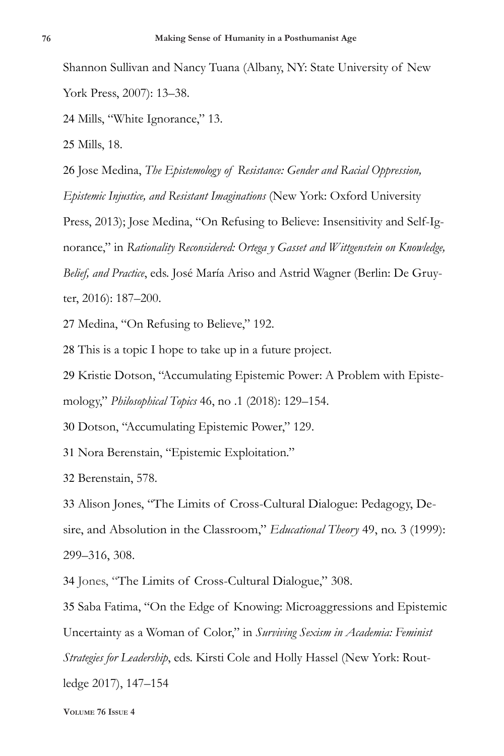Shannon Sullivan and Nancy Tuana (Albany, NY: State University of New York Press, 2007): 13–38.

24 Mills, "White Ignorance," 13.

25 Mills, 18.

26 Jose Medina, *The Epistemology of Resistance: Gender and Racial Oppression, Epistemic Injustice, and Resistant Imaginations* (New York: Oxford University

Press, 2013); Jose Medina, "On Refusing to Believe: Insensitivity and Self-Ignorance," in *Rationality Reconsidered: Ortega y Gasset and Wittgenstein on Knowledge, Belief, and Practice*, eds. José María Ariso and Astrid Wagner (Berlin: De Gruyter, 2016): 187–200.

27 Medina, "On Refusing to Believe," 192.

28 This is a topic I hope to take up in a future project.

29 Kristie Dotson, "Accumulating Epistemic Power: A Problem with Episte-

mology," *Philosophical Topics* 46, no .1 (2018): 129–154.

30 Dotson, "Accumulating Epistemic Power," 129.

31 Nora Berenstain, "Epistemic Exploitation."

32 Berenstain, 578.

33 Alison Jones, "The Limits of Cross-Cultural Dialogue: Pedagogy, Desire, and Absolution in the Classroom," *Educational Theory* 49, no. 3 (1999): 299–316, 308.

34 Jones, "The Limits of Cross-Cultural Dialogue," 308.

35 Saba Fatima, "On the Edge of Knowing: Microaggressions and Epistemic Uncertainty as a Woman of Color," in *Surviving Sexism in Academia: Feminist Strategies for Leadership*, eds. Kirsti Cole and Holly Hassel (New York: Routledge 2017), 147–154

**Volume 76 Issue 4**